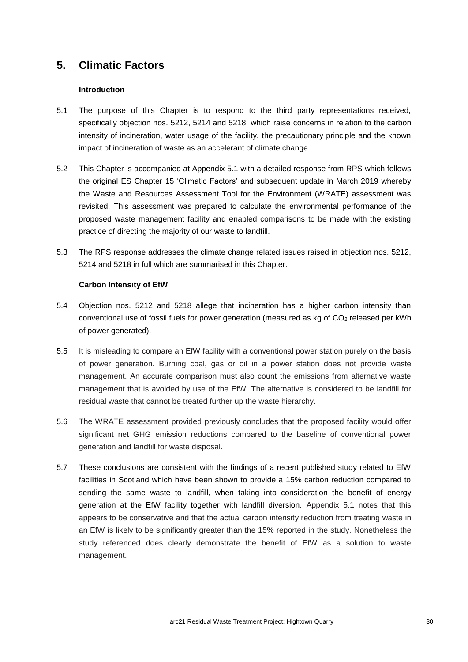# **5. Climatic Factors**

### **Introduction**

- 5.1 The purpose of this Chapter is to respond to the third party representations received, specifically objection nos. 5212, 5214 and 5218, which raise concerns in relation to the carbon intensity of incineration, water usage of the facility, the precautionary principle and the known impact of incineration of waste as an accelerant of climate change.
- 5.2 This Chapter is accompanied at Appendix 5.1 with a detailed response from RPS which follows the original ES Chapter 15 'Climatic Factors' and subsequent update in March 2019 whereby the Waste and Resources Assessment Tool for the Environment (WRATE) assessment was revisited. This assessment was prepared to calculate the environmental performance of the proposed waste management facility and enabled comparisons to be made with the existing practice of directing the majority of our waste to landfill.
- 5.3 The RPS response addresses the climate change related issues raised in objection nos. 5212, 5214 and 5218 in full which are summarised in this Chapter.

## **Carbon Intensity of EfW**

- 5.4 Objection nos. 5212 and 5218 allege that incineration has a higher carbon intensity than conventional use of fossil fuels for power generation (measured as kg of  $CO<sub>2</sub>$  released per kWh of power generated).
- 5.5 It is misleading to compare an EfW facility with a conventional power station purely on the basis of power generation. Burning coal, gas or oil in a power station does not provide waste management. An accurate comparison must also count the emissions from alternative waste management that is avoided by use of the EfW. The alternative is considered to be landfill for residual waste that cannot be treated further up the waste hierarchy.
- 5.6 The WRATE assessment provided previously concludes that the proposed facility would offer significant net GHG emission reductions compared to the baseline of conventional power generation and landfill for waste disposal.
- 5.7 These conclusions are consistent with the findings of a recent published study related to EfW facilities in Scotland which have been shown to provide a 15% carbon reduction compared to sending the same waste to landfill, when taking into consideration the benefit of energy generation at the EfW facility together with landfill diversion. Appendix 5.1 notes that this appears to be conservative and that the actual carbon intensity reduction from treating waste in an EfW is likely to be significantly greater than the 15% reported in the study. Nonetheless the study referenced does clearly demonstrate the benefit of EfW as a solution to waste management.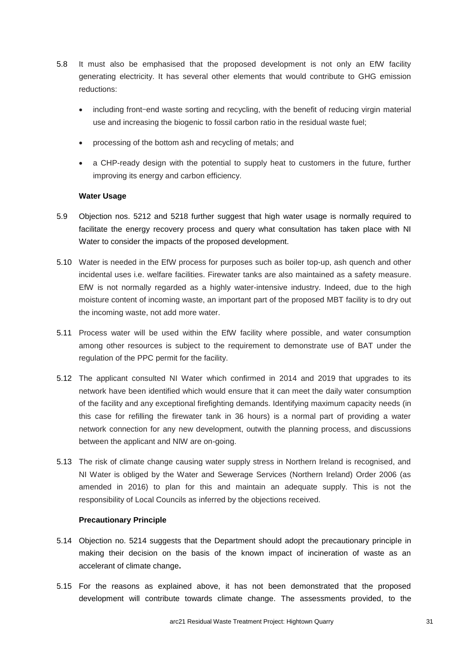- 5.8 It must also be emphasised that the proposed development is not only an EfW facility generating electricity. It has several other elements that would contribute to GHG emission reductions:
	- including front-end waste sorting and recycling, with the benefit of reducing virgin material use and increasing the biogenic to fossil carbon ratio in the residual waste fuel;
	- processing of the bottom ash and recycling of metals; and
	- a CHP-ready design with the potential to supply heat to customers in the future, further improving its energy and carbon efficiency.

### **Water Usage**

- 5.9 Objection nos. 5212 and 5218 further suggest that high water usage is normally required to facilitate the energy recovery process and query what consultation has taken place with NI Water to consider the impacts of the proposed development.
- 5.10 Water is needed in the EfW process for purposes such as boiler top-up, ash quench and other incidental uses i.e. welfare facilities. Firewater tanks are also maintained as a safety measure. EfW is not normally regarded as a highly water-intensive industry. Indeed, due to the high moisture content of incoming waste, an important part of the proposed MBT facility is to dry out the incoming waste, not add more water.
- 5.11 Process water will be used within the EfW facility where possible, and water consumption among other resources is subject to the requirement to demonstrate use of BAT under the regulation of the PPC permit for the facility.
- 5.12 The applicant consulted NI Water which confirmed in 2014 and 2019 that upgrades to its network have been identified which would ensure that it can meet the daily water consumption of the facility and any exceptional firefighting demands. Identifying maximum capacity needs (in this case for refilling the firewater tank in 36 hours) is a normal part of providing a water network connection for any new development, outwith the planning process, and discussions between the applicant and NIW are on-going.
- 5.13 The risk of climate change causing water supply stress in Northern Ireland is recognised, and NI Water is obliged by the Water and Sewerage Services (Northern Ireland) Order 2006 (as amended in 2016) to plan for this and maintain an adequate supply. This is not the responsibility of Local Councils as inferred by the objections received.

### **Precautionary Principle**

- 5.14 Objection no. 5214 suggests that the Department should adopt the precautionary principle in making their decision on the basis of the known impact of incineration of waste as an accelerant of climate change**.**
- 5.15 For the reasons as explained above, it has not been demonstrated that the proposed development will contribute towards climate change. The assessments provided, to the